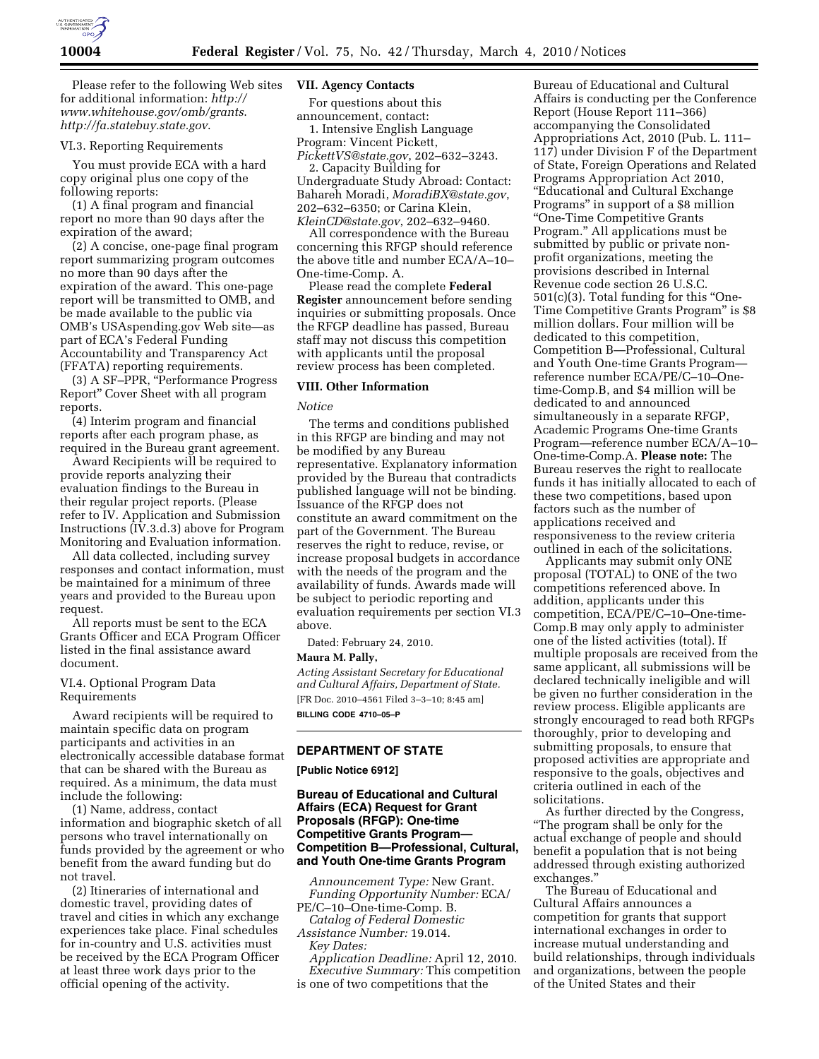

Please refer to the following Web sites for additional information: *http:// www.whitehouse.gov/omb/grants*. *http://fa.statebuy.state.gov*.

### VI.3. Reporting Requirements

You must provide ECA with a hard copy original plus one copy of the following reports:

(1) A final program and financial report no more than 90 days after the expiration of the award;

(2) A concise, one-page final program report summarizing program outcomes no more than 90 days after the expiration of the award. This one-page report will be transmitted to OMB, and be made available to the public via OMB's USAspending.gov Web site—as part of ECA's Federal Funding Accountability and Transparency Act (FFATA) reporting requirements.

(3) A SF–PPR, ''Performance Progress Report'' Cover Sheet with all program reports.

(4) Interim program and financial reports after each program phase, as required in the Bureau grant agreement.

Award Recipients will be required to provide reports analyzing their evaluation findings to the Bureau in their regular project reports. (Please refer to IV. Application and Submission Instructions (IV.3.d.3) above for Program Monitoring and Evaluation information.

All data collected, including survey responses and contact information, must be maintained for a minimum of three years and provided to the Bureau upon request.

All reports must be sent to the ECA Grants Officer and ECA Program Officer listed in the final assistance award document.

# VI.4. Optional Program Data Requirements

Award recipients will be required to maintain specific data on program participants and activities in an electronically accessible database format that can be shared with the Bureau as required. As a minimum, the data must include the following:

(1) Name, address, contact information and biographic sketch of all persons who travel internationally on funds provided by the agreement or who benefit from the award funding but do not travel.

(2) Itineraries of international and domestic travel, providing dates of travel and cities in which any exchange experiences take place. Final schedules for in-country and U.S. activities must be received by the ECA Program Officer at least three work days prior to the official opening of the activity.

#### **VII. Agency Contacts**

For questions about this announcement, contact: 1. Intensive English Language Program: Vincent Pickett,

*PickettVS@state.gov*, 202–632–3243. 2. Capacity Building for Undergraduate Study Abroad: Contact:

Bahareh Moradi, *MoradiBX@state.gov*, 202–632–6350; or Carina Klein, *KleinCD@state.gov*, 202–632–9460.

All correspondence with the Bureau concerning this RFGP should reference the above title and number ECA/A–10– One-time-Comp. A.

Please read the complete **Federal Register** announcement before sending inquiries or submitting proposals. Once the RFGP deadline has passed, Bureau staff may not discuss this competition with applicants until the proposal review process has been completed.

# **VIII. Other Information**

#### *Notice*

The terms and conditions published in this RFGP are binding and may not be modified by any Bureau representative. Explanatory information provided by the Bureau that contradicts published language will not be binding. Issuance of the RFGP does not constitute an award commitment on the part of the Government. The Bureau reserves the right to reduce, revise, or increase proposal budgets in accordance with the needs of the program and the availability of funds. Awards made will be subject to periodic reporting and evaluation requirements per section VI.3 above.

Dated: February 24, 2010.

### **Maura M. Pally,**

*Acting Assistant Secretary for Educational and Cultural Affairs, Department of State.*  [FR Doc. 2010–4561 Filed 3–3–10; 8:45 am] **BILLING CODE 4710–05–P** 

# **DEPARTMENT OF STATE**

# **[Public Notice 6912]**

# **Bureau of Educational and Cultural Affairs (ECA) Request for Grant Proposals (RFGP): One-time Competitive Grants Program— Competition B—Professional, Cultural, and Youth One-time Grants Program**

*Announcement Type:* New Grant. *Funding Opportunity Number:* ECA/ PE/C–10–One-time-Comp. B.

*Catalog of Federal Domestic Assistance Number:* 19.014. *Key Dates:* 

*Application Deadline:* April 12, 2010. *Executive Summary:* This competition

is one of two competitions that the

Bureau of Educational and Cultural Affairs is conducting per the Conference Report (House Report 111–366) accompanying the Consolidated Appropriations Act, 2010 (Pub. L. 111– 117) under Division F of the Department of State, Foreign Operations and Related Programs Appropriation Act 2010, ''Educational and Cultural Exchange Programs'' in support of a \$8 million ''One-Time Competitive Grants Program.'' All applications must be submitted by public or private nonprofit organizations, meeting the provisions described in Internal Revenue code section 26 U.S.C. 501(c)(3). Total funding for this ''One-Time Competitive Grants Program'' is \$8 million dollars. Four million will be dedicated to this competition, Competition B—Professional, Cultural and Youth One-time Grants Program reference number ECA/PE/C–10–Onetime-Comp.B, and \$4 million will be dedicated to and announced simultaneously in a separate RFGP, Academic Programs One-time Grants Program—reference number ECA/A–10– One-time-Comp.A. **Please note:** The Bureau reserves the right to reallocate funds it has initially allocated to each of these two competitions, based upon factors such as the number of applications received and responsiveness to the review criteria outlined in each of the solicitations.

Applicants may submit only ONE proposal (TOTAL) to ONE of the two competitions referenced above. In addition, applicants under this competition, ECA/PE/C–10–One-time-Comp.B may only apply to administer one of the listed activities (total). If multiple proposals are received from the same applicant, all submissions will be declared technically ineligible and will be given no further consideration in the review process. Eligible applicants are strongly encouraged to read both RFGPs thoroughly, prior to developing and submitting proposals, to ensure that proposed activities are appropriate and responsive to the goals, objectives and criteria outlined in each of the solicitations.

As further directed by the Congress, ''The program shall be only for the actual exchange of people and should benefit a population that is not being addressed through existing authorized exchanges.''

The Bureau of Educational and Cultural Affairs announces a competition for grants that support international exchanges in order to increase mutual understanding and build relationships, through individuals and organizations, between the people of the United States and their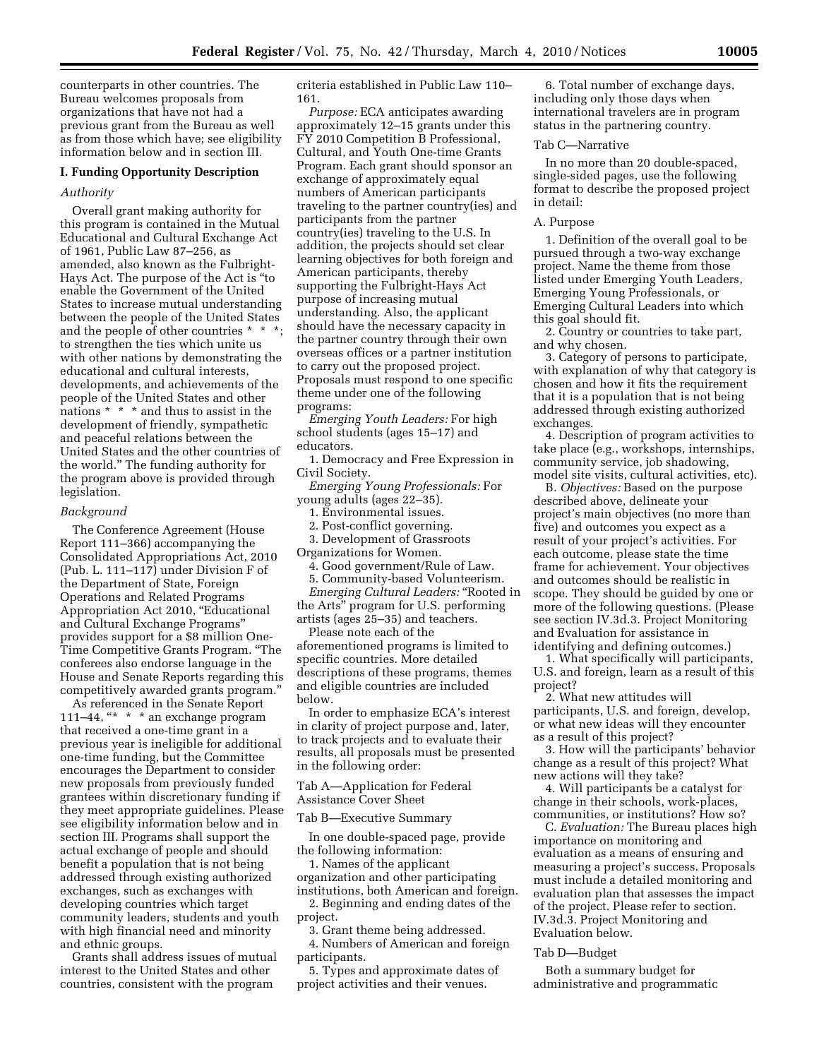counterparts in other countries. The Bureau welcomes proposals from organizations that have not had a previous grant from the Bureau as well as from those which have; see eligibility information below and in section III.

#### **I. Funding Opportunity Description**

#### *Authority*

Overall grant making authority for this program is contained in the Mutual Educational and Cultural Exchange Act of 1961, Public Law 87–256, as amended, also known as the Fulbright-Hays Act. The purpose of the Act is ''to enable the Government of the United States to increase mutual understanding between the people of the United States and the people of other countries \* \* \*; to strengthen the ties which unite us with other nations by demonstrating the educational and cultural interests, developments, and achievements of the people of the United States and other nations \* \* \* and thus to assist in the development of friendly, sympathetic and peaceful relations between the United States and the other countries of the world.'' The funding authority for the program above is provided through legislation.

#### *Background*

The Conference Agreement (House Report 111–366) accompanying the Consolidated Appropriations Act, 2010 (Pub. L. 111–117) under Division F of the Department of State, Foreign Operations and Related Programs Appropriation Act 2010, ''Educational and Cultural Exchange Programs'' provides support for a \$8 million One-Time Competitive Grants Program. ''The conferees also endorse language in the House and Senate Reports regarding this competitively awarded grants program.''

As referenced in the Senate Report 111–44, "\* \* \* an exchange program that received a one-time grant in a previous year is ineligible for additional one-time funding, but the Committee encourages the Department to consider new proposals from previously funded grantees within discretionary funding if they meet appropriate guidelines. Please see eligibility information below and in section III. Programs shall support the actual exchange of people and should benefit a population that is not being addressed through existing authorized exchanges, such as exchanges with developing countries which target community leaders, students and youth with high financial need and minority and ethnic groups.

Grants shall address issues of mutual interest to the United States and other countries, consistent with the program

criteria established in Public Law 110– 161.

*Purpose:* ECA anticipates awarding approximately 12–15 grants under this FY 2010 Competition B Professional, Cultural, and Youth One-time Grants Program. Each grant should sponsor an exchange of approximately equal numbers of American participants traveling to the partner country(ies) and participants from the partner country(ies) traveling to the U.S. In addition, the projects should set clear learning objectives for both foreign and American participants, thereby supporting the Fulbright-Hays Act purpose of increasing mutual understanding. Also, the applicant should have the necessary capacity in the partner country through their own overseas offices or a partner institution to carry out the proposed project. Proposals must respond to one specific theme under one of the following programs:

*Emerging Youth Leaders:* For high school students (ages 15–17) and educators.

1. Democracy and Free Expression in Civil Society.

*Emerging Young Professionals:* For young adults (ages 22–35).

1. Environmental issues.

2. Post-conflict governing.

3. Development of Grassroots Organizations for Women.

4. Good government/Rule of Law. 5. Community-based Volunteerism.

*Emerging Cultural Leaders:* "Rooted in the Arts'' program for U.S. performing artists (ages 25–35) and teachers.

Please note each of the aforementioned programs is limited to specific countries. More detailed descriptions of these programs, themes and eligible countries are included below.

In order to emphasize ECA's interest in clarity of project purpose and, later, to track projects and to evaluate their results, all proposals must be presented in the following order:

Tab A—Application for Federal Assistance Cover Sheet

Tab B—Executive Summary

In one double-spaced page, provide the following information:

1. Names of the applicant organization and other participating

institutions, both American and foreign. 2. Beginning and ending dates of the project.

3. Grant theme being addressed.

4. Numbers of American and foreign participants.

5. Types and approximate dates of project activities and their venues.

6. Total number of exchange days, including only those days when international travelers are in program status in the partnering country.

## Tab C—Narrative

In no more than 20 double-spaced, single-sided pages, use the following format to describe the proposed project in detail:

#### A. Purpose

1. Definition of the overall goal to be pursued through a two-way exchange project. Name the theme from those listed under Emerging Youth Leaders, Emerging Young Professionals, or Emerging Cultural Leaders into which this goal should fit.

2. Country or countries to take part, and why chosen.

3. Category of persons to participate, with explanation of why that category is chosen and how it fits the requirement that it is a population that is not being addressed through existing authorized exchanges.

4. Description of program activities to take place (e.g., workshops, internships, community service, job shadowing, model site visits, cultural activities, etc).

B. *Objectives:* Based on the purpose described above, delineate your project's main objectives (no more than five) and outcomes you expect as a result of your project's activities. For each outcome, please state the time frame for achievement. Your objectives and outcomes should be realistic in scope. They should be guided by one or more of the following questions. (Please see section IV.3d.3. Project Monitoring and Evaluation for assistance in identifying and defining outcomes.)

1. What specifically will participants, U.S. and foreign, learn as a result of this project?

2. What new attitudes will participants, U.S. and foreign, develop, or what new ideas will they encounter as a result of this project?

3. How will the participants' behavior change as a result of this project? What new actions will they take?

4. Will participants be a catalyst for change in their schools, work-places, communities, or institutions? How so?

C. *Evaluation:* The Bureau places high importance on monitoring and evaluation as a means of ensuring and measuring a project's success. Proposals must include a detailed monitoring and evaluation plan that assesses the impact of the project. Please refer to section. IV.3d.3. Project Monitoring and Evaluation below.

#### Tab D—Budget

Both a summary budget for administrative and programmatic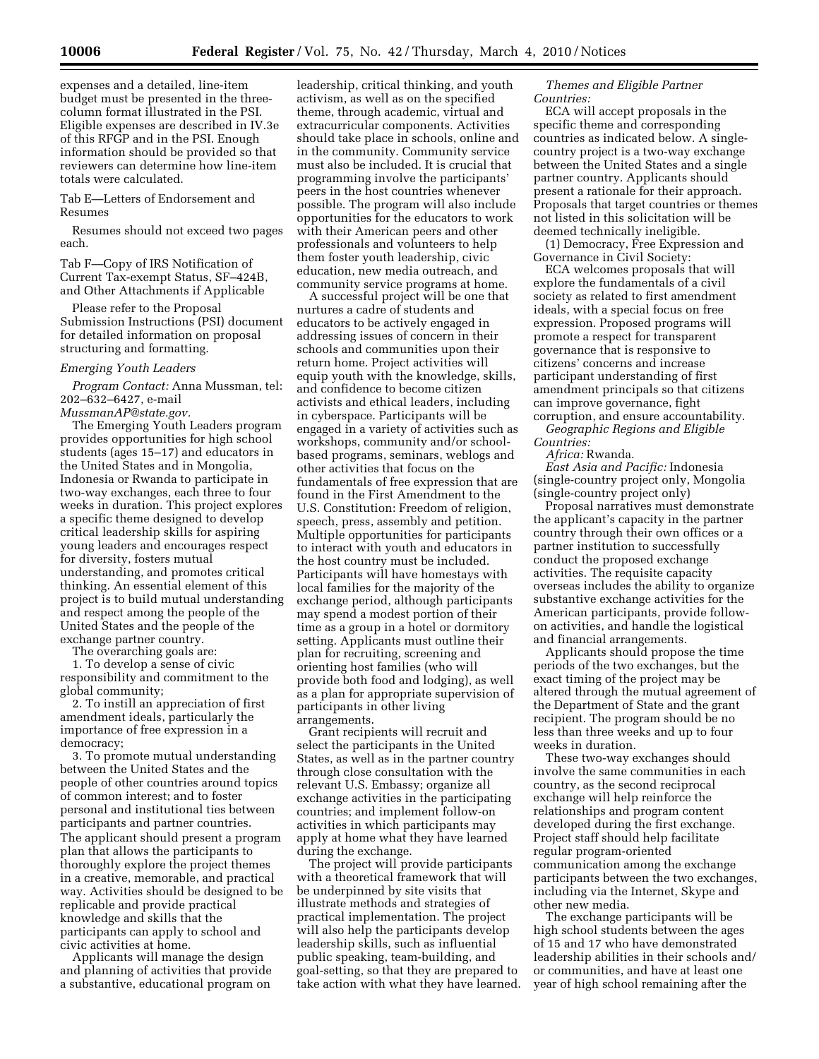expenses and a detailed, line-item budget must be presented in the threecolumn format illustrated in the PSI. Eligible expenses are described in IV.3e of this RFGP and in the PSI. Enough information should be provided so that reviewers can determine how line-item totals were calculated.

Tab E—Letters of Endorsement and Resumes

Resumes should not exceed two pages each.

Tab F—Copy of IRS Notification of Current Tax-exempt Status, SF–424B, and Other Attachments if Applicable

Please refer to the Proposal Submission Instructions (PSI) document for detailed information on proposal structuring and formatting.

## *Emerging Youth Leaders*

*Program Contact:* Anna Mussman, tel: 202–632–6427, e-mail *MussmanAP@state.gov.* 

The Emerging Youth Leaders program provides opportunities for high school students (ages 15–17) and educators in the United States and in Mongolia, Indonesia or Rwanda to participate in two-way exchanges, each three to four weeks in duration. This project explores a specific theme designed to develop critical leadership skills for aspiring young leaders and encourages respect for diversity, fosters mutual understanding, and promotes critical thinking. An essential element of this project is to build mutual understanding and respect among the people of the United States and the people of the exchange partner country.

The overarching goals are:

1. To develop a sense of civic responsibility and commitment to the global community;

2. To instill an appreciation of first amendment ideals, particularly the importance of free expression in a democracy;

3. To promote mutual understanding between the United States and the people of other countries around topics of common interest; and to foster personal and institutional ties between participants and partner countries. The applicant should present a program plan that allows the participants to thoroughly explore the project themes in a creative, memorable, and practical way. Activities should be designed to be replicable and provide practical knowledge and skills that the participants can apply to school and civic activities at home.

Applicants will manage the design and planning of activities that provide a substantive, educational program on

leadership, critical thinking, and youth activism, as well as on the specified theme, through academic, virtual and extracurricular components. Activities should take place in schools, online and in the community. Community service must also be included. It is crucial that programming involve the participants' peers in the host countries whenever possible. The program will also include opportunities for the educators to work with their American peers and other professionals and volunteers to help them foster youth leadership, civic education, new media outreach, and community service programs at home.

A successful project will be one that nurtures a cadre of students and educators to be actively engaged in addressing issues of concern in their schools and communities upon their return home. Project activities will equip youth with the knowledge, skills, and confidence to become citizen activists and ethical leaders, including in cyberspace. Participants will be engaged in a variety of activities such as workshops, community and/or schoolbased programs, seminars, weblogs and other activities that focus on the fundamentals of free expression that are found in the First Amendment to the U.S. Constitution: Freedom of religion, speech, press, assembly and petition. Multiple opportunities for participants to interact with youth and educators in the host country must be included. Participants will have homestays with local families for the majority of the exchange period, although participants may spend a modest portion of their time as a group in a hotel or dormitory setting. Applicants must outline their plan for recruiting, screening and orienting host families (who will provide both food and lodging), as well as a plan for appropriate supervision of participants in other living arrangements.

Grant recipients will recruit and select the participants in the United States, as well as in the partner country through close consultation with the relevant U.S. Embassy; organize all exchange activities in the participating countries; and implement follow-on activities in which participants may apply at home what they have learned during the exchange.

The project will provide participants with a theoretical framework that will be underpinned by site visits that illustrate methods and strategies of practical implementation. The project will also help the participants develop leadership skills, such as influential public speaking, team-building, and goal-setting, so that they are prepared to take action with what they have learned.

*Themes and Eligible Partner Countries:* 

ECA will accept proposals in the specific theme and corresponding countries as indicated below. A singlecountry project is a two-way exchange between the United States and a single partner country. Applicants should present a rationale for their approach. Proposals that target countries or themes not listed in this solicitation will be deemed technically ineligible.

(1) Democracy, Free Expression and Governance in Civil Society:

ECA welcomes proposals that will explore the fundamentals of a civil society as related to first amendment ideals, with a special focus on free expression. Proposed programs will promote a respect for transparent governance that is responsive to citizens' concerns and increase participant understanding of first amendment principals so that citizens can improve governance, fight corruption, and ensure accountability.

*Geographic Regions and Eligible Countries:* 

*Africa:* Rwanda.

*East Asia and Pacific:* Indonesia (single-country project only, Mongolia (single-country project only)

Proposal narratives must demonstrate the applicant's capacity in the partner country through their own offices or a partner institution to successfully conduct the proposed exchange activities. The requisite capacity overseas includes the ability to organize substantive exchange activities for the American participants, provide followon activities, and handle the logistical and financial arrangements.

Applicants should propose the time periods of the two exchanges, but the exact timing of the project may be altered through the mutual agreement of the Department of State and the grant recipient. The program should be no less than three weeks and up to four weeks in duration.

These two-way exchanges should involve the same communities in each country, as the second reciprocal exchange will help reinforce the relationships and program content developed during the first exchange. Project staff should help facilitate regular program-oriented communication among the exchange participants between the two exchanges, including via the Internet, Skype and other new media.

The exchange participants will be high school students between the ages of 15 and 17 who have demonstrated leadership abilities in their schools and/ or communities, and have at least one year of high school remaining after the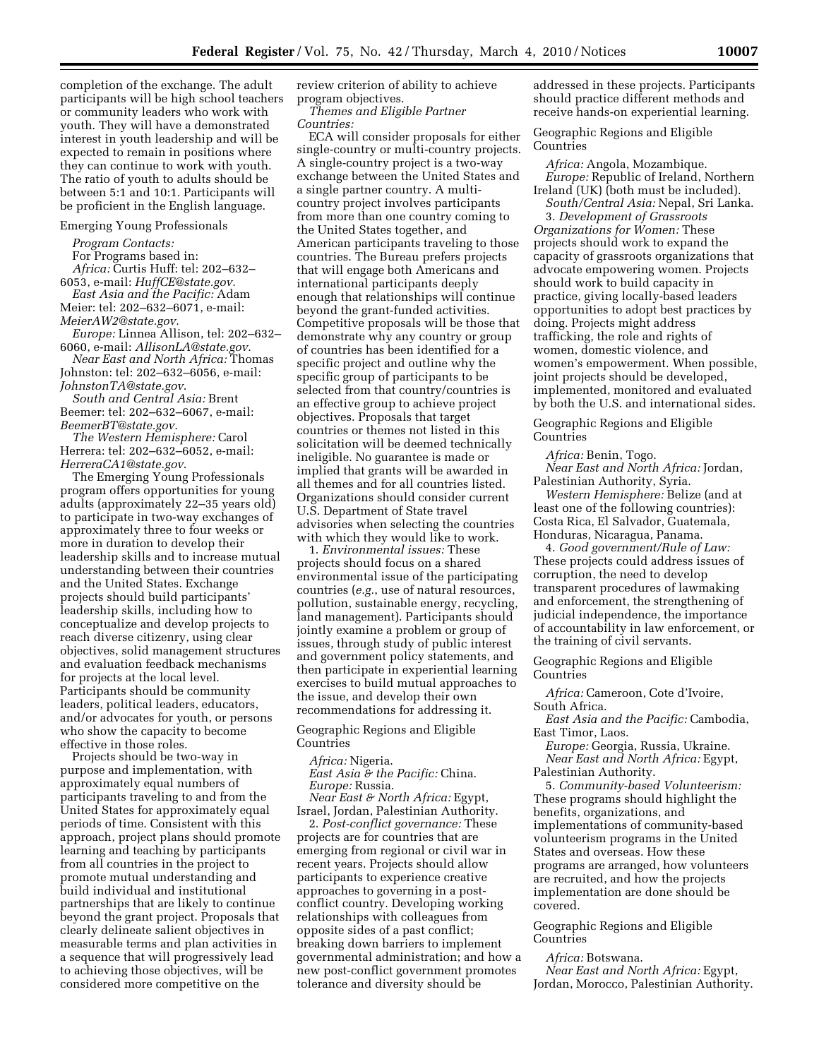completion of the exchange. The adult participants will be high school teachers or community leaders who work with youth. They will have a demonstrated interest in youth leadership and will be expected to remain in positions where they can continue to work with youth. The ratio of youth to adults should be between 5:1 and 10:1. Participants will be proficient in the English language.

## Emerging Young Professionals

*Program Contacts:* 

For Programs based in:

*Africa:* Curtis Huff: tel: 202–632– 6053, e-mail: *HuffCE@state.gov.* 

*East Asia and the Pacific:* Adam Meier: tel: 202–632–6071, e-mail: *MeierAW2@state.gov.* 

*Europe:* Linnea Allison, tel: 202–632– 6060, e-mail: *AllisonLA@state.gov*.

*Near East and North Africa:* Thomas Johnston: tel: 202–632–6056, e-mail:

*JohnstonTA@state.gov*. *South and Central Asia:* Brent Beemer: tel: 202–632–6067, e-mail:

*BeemerBT@state.gov*. *The Western Hemisphere:* Carol

Herrera: tel: 202–632–6052, e-mail: *HerreraCA1@state.gov*.

The Emerging Young Professionals program offers opportunities for young adults (approximately 22–35 years old) to participate in two-way exchanges of approximately three to four weeks or more in duration to develop their leadership skills and to increase mutual understanding between their countries and the United States. Exchange projects should build participants' leadership skills, including how to conceptualize and develop projects to reach diverse citizenry, using clear objectives, solid management structures and evaluation feedback mechanisms for projects at the local level. Participants should be community leaders, political leaders, educators, and/or advocates for youth, or persons who show the capacity to become effective in those roles.

Projects should be two-way in purpose and implementation, with approximately equal numbers of participants traveling to and from the United States for approximately equal periods of time. Consistent with this approach, project plans should promote learning and teaching by participants from all countries in the project to promote mutual understanding and build individual and institutional partnerships that are likely to continue beyond the grant project. Proposals that clearly delineate salient objectives in measurable terms and plan activities in a sequence that will progressively lead to achieving those objectives, will be considered more competitive on the

review criterion of ability to achieve program objectives.

*Themes and Eligible Partner Countries:* 

ECA will consider proposals for either single-country or multi-country projects. A single-country project is a two-way exchange between the United States and a single partner country. A multicountry project involves participants from more than one country coming to the United States together, and American participants traveling to those countries. The Bureau prefers projects that will engage both Americans and international participants deeply enough that relationships will continue beyond the grant-funded activities. Competitive proposals will be those that demonstrate why any country or group of countries has been identified for a specific project and outline why the specific group of participants to be selected from that country/countries is an effective group to achieve project objectives. Proposals that target countries or themes not listed in this solicitation will be deemed technically ineligible. No guarantee is made or implied that grants will be awarded in all themes and for all countries listed. Organizations should consider current U.S. Department of State travel advisories when selecting the countries with which they would like to work.

1. *Environmental issues:* These projects should focus on a shared environmental issue of the participating countries (*e.g.*, use of natural resources, pollution, sustainable energy, recycling, land management). Participants should jointly examine a problem or group of issues, through study of public interest and government policy statements, and then participate in experiential learning exercises to build mutual approaches to the issue, and develop their own recommendations for addressing it.

Geographic Regions and Eligible Countries

# *Africa:* Nigeria.

*East Asia & the Pacific:* China. *Europe:* Russia.

*Near East & North Africa:* Egypt, Israel, Jordan, Palestinian Authority.

2. *Post-conflict governance:* These projects are for countries that are emerging from regional or civil war in recent years. Projects should allow participants to experience creative approaches to governing in a postconflict country. Developing working relationships with colleagues from opposite sides of a past conflict; breaking down barriers to implement governmental administration; and how a new post-conflict government promotes tolerance and diversity should be

addressed in these projects. Participants should practice different methods and receive hands-on experiential learning.

Geographic Regions and Eligible Countries

*Africa:* Angola, Mozambique. *Europe:* Republic of Ireland, Northern Ireland (UK) (both must be included).

*South/Central Asia:* Nepal, Sri Lanka. 3. *Development of Grassroots Organizations for Women:* These projects should work to expand the capacity of grassroots organizations that advocate empowering women. Projects should work to build capacity in practice, giving locally-based leaders opportunities to adopt best practices by doing. Projects might address trafficking, the role and rights of women, domestic violence, and women's empowerment. When possible, joint projects should be developed, implemented, monitored and evaluated by both the U.S. and international sides.

Geographic Regions and Eligible Countries

*Africa:* Benin, Togo.

*Near East and North Africa:* Jordan, Palestinian Authority, Syria.

*Western Hemisphere:* Belize (and at least one of the following countries): Costa Rica, El Salvador, Guatemala, Honduras, Nicaragua, Panama.

4. *Good government/Rule of Law:*  These projects could address issues of corruption, the need to develop transparent procedures of lawmaking and enforcement, the strengthening of judicial independence, the importance of accountability in law enforcement, or the training of civil servants.

Geographic Regions and Eligible Countries

*Africa:* Cameroon, Cote d'Ivoire, South Africa.

*East Asia and the Pacific:* Cambodia, East Timor, Laos.

*Europe:* Georgia, Russia, Ukraine. *Near East and North Africa:* Egypt, Palestinian Authority.

5. *Community-based Volunteerism:*  These programs should highlight the benefits, organizations, and implementations of community-based volunteerism programs in the United States and overseas. How these programs are arranged, how volunteers are recruited, and how the projects implementation are done should be covered.

Geographic Regions and Eligible Countries

*Africa:* Botswana.

*Near East and North Africa:* Egypt, Jordan, Morocco, Palestinian Authority.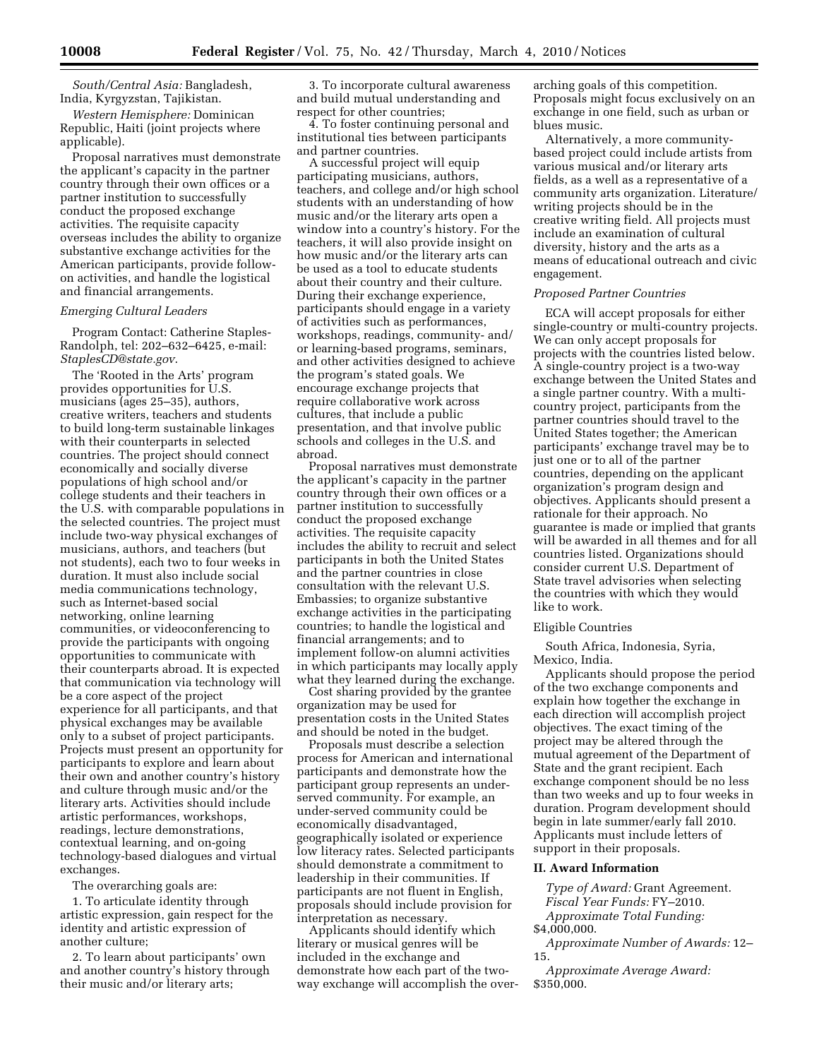*South/Central Asia:* Bangladesh, India, Kyrgyzstan, Tajikistan.

*Western Hemisphere:* Dominican Republic, Haiti (joint projects where applicable).

Proposal narratives must demonstrate the applicant's capacity in the partner country through their own offices or a partner institution to successfully conduct the proposed exchange activities. The requisite capacity overseas includes the ability to organize substantive exchange activities for the American participants, provide followon activities, and handle the logistical and financial arrangements.

# *Emerging Cultural Leaders*

Program Contact: Catherine Staples-Randolph, tel: 202–632–6425, e-mail: *StaplesCD@state.gov*.

The 'Rooted in the Arts' program provides opportunities for U.S. musicians (ages 25–35), authors, creative writers, teachers and students to build long-term sustainable linkages with their counterparts in selected countries. The project should connect economically and socially diverse populations of high school and/or college students and their teachers in the U.S. with comparable populations in the selected countries. The project must include two-way physical exchanges of musicians, authors, and teachers (but not students), each two to four weeks in duration. It must also include social media communications technology, such as Internet-based social networking, online learning communities, or videoconferencing to provide the participants with ongoing opportunities to communicate with their counterparts abroad. It is expected that communication via technology will be a core aspect of the project experience for all participants, and that physical exchanges may be available only to a subset of project participants. Projects must present an opportunity for participants to explore and learn about their own and another country's history and culture through music and/or the literary arts. Activities should include artistic performances, workshops, readings, lecture demonstrations, contextual learning, and on-going technology-based dialogues and virtual exchanges.

The overarching goals are:

1. To articulate identity through artistic expression, gain respect for the identity and artistic expression of another culture;

2. To learn about participants' own and another country's history through their music and/or literary arts;

3. To incorporate cultural awareness and build mutual understanding and respect for other countries;

4. To foster continuing personal and institutional ties between participants and partner countries.

A successful project will equip participating musicians, authors, teachers, and college and/or high school students with an understanding of how music and/or the literary arts open a window into a country's history. For the teachers, it will also provide insight on how music and/or the literary arts can be used as a tool to educate students about their country and their culture. During their exchange experience, participants should engage in a variety of activities such as performances, workshops, readings, community- and/ or learning-based programs, seminars, and other activities designed to achieve the program's stated goals. We encourage exchange projects that require collaborative work across cultures, that include a public presentation, and that involve public schools and colleges in the U.S. and abroad.

Proposal narratives must demonstrate the applicant's capacity in the partner country through their own offices or a partner institution to successfully conduct the proposed exchange activities. The requisite capacity includes the ability to recruit and select participants in both the United States and the partner countries in close consultation with the relevant U.S. Embassies; to organize substantive exchange activities in the participating countries; to handle the logistical and financial arrangements; and to implement follow-on alumni activities in which participants may locally apply what they learned during the exchange.

Cost sharing provided by the grantee organization may be used for presentation costs in the United States and should be noted in the budget.

Proposals must describe a selection process for American and international participants and demonstrate how the participant group represents an underserved community. For example, an under-served community could be economically disadvantaged, geographically isolated or experience low literacy rates. Selected participants should demonstrate a commitment to leadership in their communities. If participants are not fluent in English, proposals should include provision for interpretation as necessary.

Applicants should identify which literary or musical genres will be included in the exchange and demonstrate how each part of the twoway exchange will accomplish the over-

arching goals of this competition. Proposals might focus exclusively on an exchange in one field, such as urban or blues music.

Alternatively, a more communitybased project could include artists from various musical and/or literary arts fields, as a well as a representative of a community arts organization. Literature/ writing projects should be in the creative writing field. All projects must include an examination of cultural diversity, history and the arts as a means of educational outreach and civic engagement.

# *Proposed Partner Countries*

ECA will accept proposals for either single-country or multi-country projects. We can only accept proposals for projects with the countries listed below. A single-country project is a two-way exchange between the United States and a single partner country. With a multicountry project, participants from the partner countries should travel to the United States together; the American participants' exchange travel may be to just one or to all of the partner countries, depending on the applicant organization's program design and objectives. Applicants should present a rationale for their approach. No guarantee is made or implied that grants will be awarded in all themes and for all countries listed. Organizations should consider current U.S. Department of State travel advisories when selecting the countries with which they would like to work.

## Eligible Countries

South Africa, Indonesia, Syria, Mexico, India.

Applicants should propose the period of the two exchange components and explain how together the exchange in each direction will accomplish project objectives. The exact timing of the project may be altered through the mutual agreement of the Department of State and the grant recipient. Each exchange component should be no less than two weeks and up to four weeks in duration. Program development should begin in late summer/early fall 2010. Applicants must include letters of support in their proposals.

### **II. Award Information**

*Type of Award:* Grant Agreement. *Fiscal Year Funds:* FY–2010. *Approximate Total Funding:*  \$4,000,000.

*Approximate Number of Awards:* 12– 15.

*Approximate Average Award:*  \$350,000.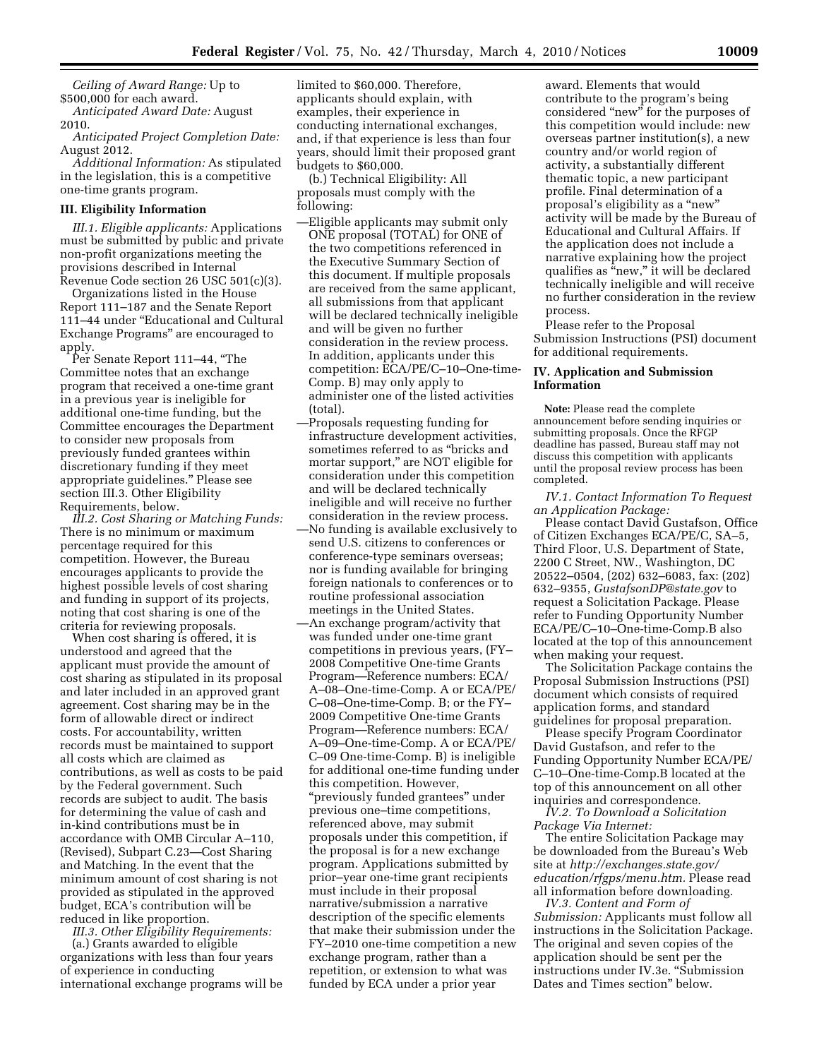*Ceiling of Award Range:* Up to \$500,000 for each award.

*Anticipated Award Date:* August 2010.

*Anticipated Project Completion Date:*  August 2012.

*Additional Information:* As stipulated in the legislation, this is a competitive one-time grants program.

#### **III. Eligibility Information**

*III.1. Eligible applicants:* Applications must be submitted by public and private non-profit organizations meeting the provisions described in Internal Revenue Code section 26 USC 501(c)(3).

Organizations listed in the House Report 111–187 and the Senate Report 111–44 under ''Educational and Cultural Exchange Programs'' are encouraged to apply.

Per Senate Report 111–44, ''The Committee notes that an exchange program that received a one-time grant in a previous year is ineligible for additional one-time funding, but the Committee encourages the Department to consider new proposals from previously funded grantees within discretionary funding if they meet appropriate guidelines.'' Please see section III.3. Other Eligibility Requirements, below.

*III.2. Cost Sharing or Matching Funds:*  There is no minimum or maximum percentage required for this competition. However, the Bureau encourages applicants to provide the highest possible levels of cost sharing and funding in support of its projects, noting that cost sharing is one of the criteria for reviewing proposals.

When cost sharing is offered, it is understood and agreed that the applicant must provide the amount of cost sharing as stipulated in its proposal and later included in an approved grant agreement. Cost sharing may be in the form of allowable direct or indirect costs. For accountability, written records must be maintained to support all costs which are claimed as contributions, as well as costs to be paid by the Federal government. Such records are subject to audit. The basis for determining the value of cash and in-kind contributions must be in accordance with OMB Circular A–110, (Revised), Subpart C.23—Cost Sharing and Matching. In the event that the minimum amount of cost sharing is not provided as stipulated in the approved budget, ECA's contribution will be reduced in like proportion.

*III.3. Other Eligibility Requirements:*  (a.) Grants awarded to eligible organizations with less than four years of experience in conducting international exchange programs will be limited to \$60,000. Therefore, applicants should explain, with examples, their experience in conducting international exchanges, and, if that experience is less than four years, should limit their proposed grant budgets to \$60,000.

(b.) Technical Eligibility: All proposals must comply with the following:

- —Eligible applicants may submit only ONE proposal (TOTAL) for ONE of the two competitions referenced in the Executive Summary Section of this document. If multiple proposals are received from the same applicant, all submissions from that applicant will be declared technically ineligible and will be given no further consideration in the review process. In addition, applicants under this competition: ECA/PE/C–10–One-time-Comp. B) may only apply to administer one of the listed activities (total).
- —Proposals requesting funding for infrastructure development activities, sometimes referred to as ''bricks and mortar support,'' are NOT eligible for consideration under this competition and will be declared technically ineligible and will receive no further consideration in the review process.
- —No funding is available exclusively to send U.S. citizens to conferences or conference-type seminars overseas; nor is funding available for bringing foreign nationals to conferences or to routine professional association meetings in the United States.
- —An exchange program/activity that was funded under one-time grant competitions in previous years, (FY– 2008 Competitive One-time Grants Program—Reference numbers: ECA/ A–08–One-time-Comp. A or ECA/PE/ C–08–One-time-Comp. B; or the FY– 2009 Competitive One-time Grants Program—Reference numbers: ECA/ A–09–One-time-Comp. A or ECA/PE/ C–09 One-time-Comp. B) is ineligible for additional one-time funding under this competition. However, ''previously funded grantees'' under previous one–time competitions, referenced above, may submit proposals under this competition, if the proposal is for a new exchange program. Applications submitted by prior–year one-time grant recipients must include in their proposal narrative/submission a narrative description of the specific elements that make their submission under the FY–2010 one-time competition a new exchange program, rather than a repetition, or extension to what was funded by ECA under a prior year

award. Elements that would contribute to the program's being considered ''new'' for the purposes of this competition would include: new overseas partner institution(s), a new country and/or world region of activity, a substantially different thematic topic, a new participant profile. Final determination of a proposal's eligibility as a "new" activity will be made by the Bureau of Educational and Cultural Affairs. If the application does not include a narrative explaining how the project qualifies as ''new,'' it will be declared technically ineligible and will receive no further consideration in the review process.

Please refer to the Proposal Submission Instructions (PSI) document for additional requirements.

# **IV. Application and Submission Information**

**Note:** Please read the complete announcement before sending inquiries or submitting proposals. Once the RFGP deadline has passed, Bureau staff may not discuss this competition with applicants until the proposal review process has been completed.

*IV.1. Contact Information To Request an Application Package:* 

Please contact David Gustafson, Office of Citizen Exchanges ECA/PE/C, SA–5, Third Floor, U.S. Department of State, 2200 C Street, NW., Washington, DC 20522–0504, (202) 632–6083, fax: (202) 632–9355, *GustafsonDP@state.gov* to request a Solicitation Package. Please refer to Funding Opportunity Number ECA/PE/C–10–One-time-Comp.B also located at the top of this announcement when making your request.

The Solicitation Package contains the Proposal Submission Instructions (PSI) document which consists of required application forms, and standard guidelines for proposal preparation.

Please specify Program Coordinator David Gustafson, and refer to the Funding Opportunity Number ECA/PE/ C–10–One-time-Comp.B located at the top of this announcement on all other inquiries and correspondence.

*IV.2. To Download a Solicitation Package Via Internet:* 

The entire Solicitation Package may be downloaded from the Bureau's Web site at *http://exchanges.state.gov/ education/rfgps/menu.htm.* Please read all information before downloading.

*IV.3. Content and Form of Submission:* Applicants must follow all instructions in the Solicitation Package. The original and seven copies of the application should be sent per the instructions under IV.3e. ''Submission Dates and Times section'' below.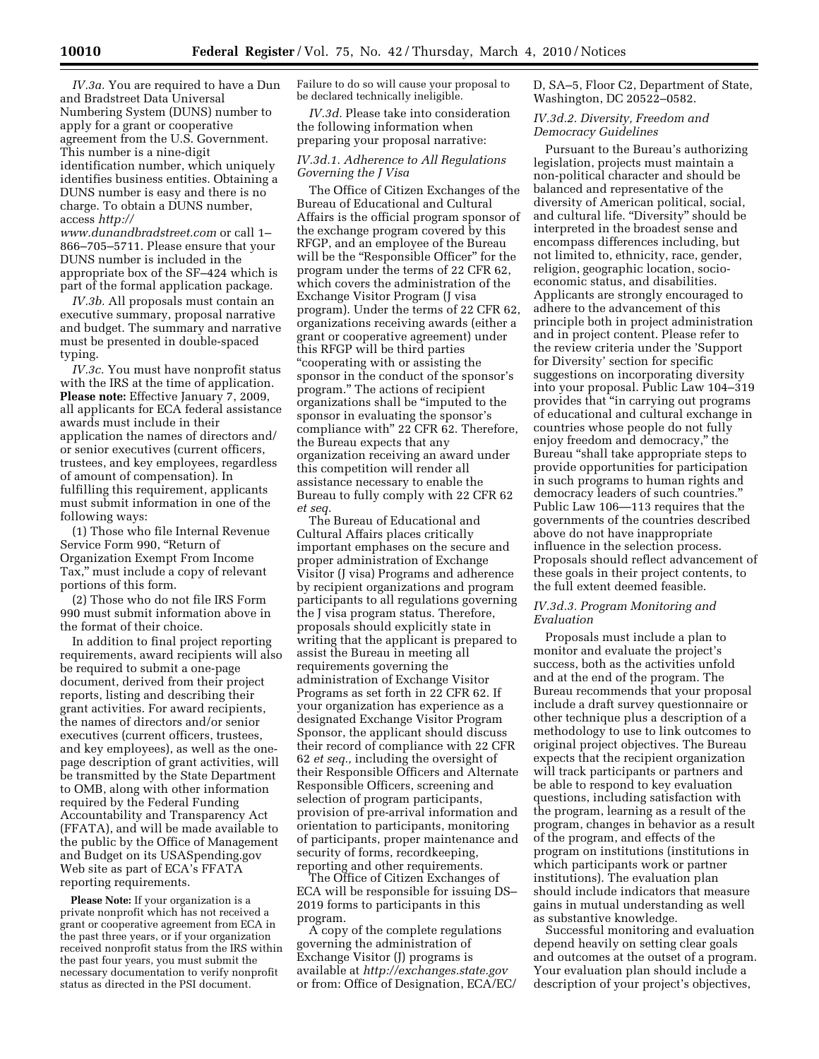*IV.3a.* You are required to have a Dun and Bradstreet Data Universal Numbering System (DUNS) number to apply for a grant or cooperative agreement from the U.S. Government. This number is a nine-digit identification number, which uniquely identifies business entities. Obtaining a DUNS number is easy and there is no charge. To obtain a DUNS number, access *http://* 

*www.dunandbradstreet.com* or call 1– 866–705–5711. Please ensure that your DUNS number is included in the appropriate box of the SF–424 which is part of the formal application package.

*IV.3b.* All proposals must contain an executive summary, proposal narrative and budget. The summary and narrative must be presented in double-spaced typing.

*IV.3c.* You must have nonprofit status with the IRS at the time of application. **Please note:** Effective January 7, 2009, all applicants for ECA federal assistance awards must include in their application the names of directors and/ or senior executives (current officers, trustees, and key employees, regardless of amount of compensation). In fulfilling this requirement, applicants must submit information in one of the following ways:

(1) Those who file Internal Revenue Service Form 990, "Return of Organization Exempt From Income Tax,'' must include a copy of relevant portions of this form.

(2) Those who do not file IRS Form 990 must submit information above in the format of their choice.

In addition to final project reporting requirements, award recipients will also be required to submit a one-page document, derived from their project reports, listing and describing their grant activities. For award recipients, the names of directors and/or senior executives (current officers, trustees, and key employees), as well as the onepage description of grant activities, will be transmitted by the State Department to OMB, along with other information required by the Federal Funding Accountability and Transparency Act (FFATA), and will be made available to the public by the Office of Management and Budget on its USASpending.gov Web site as part of ECA's FFATA reporting requirements.

**Please Note:** If your organization is a private nonprofit which has not received a grant or cooperative agreement from ECA in the past three years, or if your organization received nonprofit status from the IRS within the past four years, you must submit the necessary documentation to verify nonprofit status as directed in the PSI document.

Failure to do so will cause your proposal to be declared technically ineligible.

*IV.3d.* Please take into consideration the following information when preparing your proposal narrative:

# *IV.3d.1. Adherence to All Regulations Governing the J Visa*

The Office of Citizen Exchanges of the Bureau of Educational and Cultural Affairs is the official program sponsor of the exchange program covered by this RFGP, and an employee of the Bureau will be the "Responsible Officer" for the program under the terms of 22 CFR 62, which covers the administration of the Exchange Visitor Program (J visa program). Under the terms of 22 CFR 62, organizations receiving awards (either a grant or cooperative agreement) under this RFGP will be third parties ''cooperating with or assisting the sponsor in the conduct of the sponsor's program.'' The actions of recipient organizations shall be ''imputed to the sponsor in evaluating the sponsor's compliance with'' 22 CFR 62. Therefore, the Bureau expects that any organization receiving an award under this competition will render all assistance necessary to enable the Bureau to fully comply with 22 CFR 62 *et seq.* 

The Bureau of Educational and Cultural Affairs places critically important emphases on the secure and proper administration of Exchange Visitor (J visa) Programs and adherence by recipient organizations and program participants to all regulations governing the J visa program status. Therefore, proposals should explicitly state in writing that the applicant is prepared to assist the Bureau in meeting all requirements governing the administration of Exchange Visitor Programs as set forth in 22 CFR 62. If your organization has experience as a designated Exchange Visitor Program Sponsor, the applicant should discuss their record of compliance with 22 CFR 62 *et seq.,* including the oversight of their Responsible Officers and Alternate Responsible Officers, screening and selection of program participants, provision of pre-arrival information and orientation to participants, monitoring of participants, proper maintenance and security of forms, recordkeeping, reporting and other requirements.

The Office of Citizen Exchanges of ECA will be responsible for issuing DS– 2019 forms to participants in this program.

A copy of the complete regulations governing the administration of Exchange Visitor (J) programs is available at *http://exchanges.state.gov*  or from: Office of Designation, ECA/EC/ D, SA–5, Floor C2, Department of State, Washington, DC 20522–0582.

# *IV.3d.2. Diversity, Freedom and Democracy Guidelines*

Pursuant to the Bureau's authorizing legislation, projects must maintain a non-political character and should be balanced and representative of the diversity of American political, social, and cultural life. "Diversity" should be interpreted in the broadest sense and encompass differences including, but not limited to, ethnicity, race, gender, religion, geographic location, socioeconomic status, and disabilities. Applicants are strongly encouraged to adhere to the advancement of this principle both in project administration and in project content. Please refer to the review criteria under the 'Support for Diversity' section for specific suggestions on incorporating diversity into your proposal. Public Law 104–319 provides that ''in carrying out programs of educational and cultural exchange in countries whose people do not fully enjoy freedom and democracy,'' the Bureau ''shall take appropriate steps to provide opportunities for participation in such programs to human rights and democracy leaders of such countries.'' Public Law 106—113 requires that the governments of the countries described above do not have inappropriate influence in the selection process. Proposals should reflect advancement of these goals in their project contents, to the full extent deemed feasible.

## *IV.3d.3. Program Monitoring and Evaluation*

Proposals must include a plan to monitor and evaluate the project's success, both as the activities unfold and at the end of the program. The Bureau recommends that your proposal include a draft survey questionnaire or other technique plus a description of a methodology to use to link outcomes to original project objectives. The Bureau expects that the recipient organization will track participants or partners and be able to respond to key evaluation questions, including satisfaction with the program, learning as a result of the program, changes in behavior as a result of the program, and effects of the program on institutions (institutions in which participants work or partner institutions). The evaluation plan should include indicators that measure gains in mutual understanding as well as substantive knowledge.

Successful monitoring and evaluation depend heavily on setting clear goals and outcomes at the outset of a program. Your evaluation plan should include a description of your project's objectives,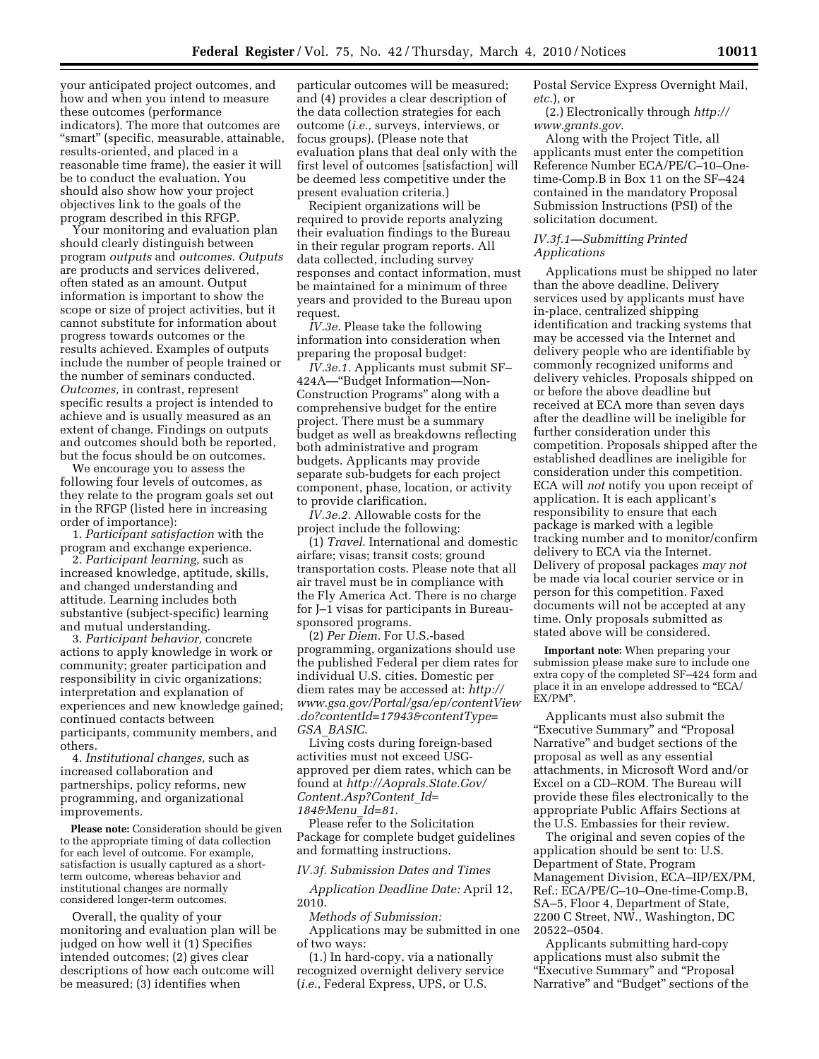your anticipated project outcomes, and how and when you intend to measure these outcomes (performance indicators). The more that outcomes are "smart" (specific, measurable, attainable, results-oriented, and placed in a reasonable time frame), the easier it will be to conduct the evaluation. You should also show how your project objectives link to the goals of the program described in this RFGP.

Your monitoring and evaluation plan should clearly distinguish between program *outputs* and *outcomes. Outputs*  are products and services delivered, often stated as an amount. Output information is important to show the scope or size of project activities, but it cannot substitute for information about progress towards outcomes or the results achieved. Examples of outputs include the number of people trained or the number of seminars conducted. *Outcomes,* in contrast, represent specific results a project is intended to achieve and is usually measured as an extent of change. Findings on outputs and outcomes should both be reported, but the focus should be on outcomes.

We encourage you to assess the following four levels of outcomes, as they relate to the program goals set out in the RFGP (listed here in increasing order of importance):

1. *Participant satisfaction* with the program and exchange experience.

2. *Participant learning,* such as increased knowledge, aptitude, skills, and changed understanding and attitude. Learning includes both substantive (subject-specific) learning and mutual understanding.

3. *Participant behavior,* concrete actions to apply knowledge in work or community; greater participation and responsibility in civic organizations; interpretation and explanation of experiences and new knowledge gained; continued contacts between participants, community members, and others.

4. *Institutional changes,* such as increased collaboration and partnerships, policy reforms, new programming, and organizational improvements.

**Please note:** Consideration should be given to the appropriate timing of data collection for each level of outcome. For example, satisfaction is usually captured as a shortterm outcome, whereas behavior and institutional changes are normally considered longer-term outcomes.

Overall, the quality of your monitoring and evaluation plan will be judged on how well it (1) Specifies intended outcomes; (2) gives clear descriptions of how each outcome will be measured; (3) identifies when

particular outcomes will be measured; and (4) provides a clear description of the data collection strategies for each outcome (*i.e.,* surveys, interviews, or focus groups). (Please note that evaluation plans that deal only with the first level of outcomes [satisfaction] will be deemed less competitive under the present evaluation criteria.)

Recipient organizations will be required to provide reports analyzing their evaluation findings to the Bureau in their regular program reports. All data collected, including survey responses and contact information, must be maintained for a minimum of three years and provided to the Bureau upon request.

*IV.3e.* Please take the following information into consideration when preparing the proposal budget:

*IV.3e.1.* Applicants must submit SF– 424A—''Budget Information—Non-Construction Programs'' along with a comprehensive budget for the entire project. There must be a summary budget as well as breakdowns reflecting both administrative and program budgets. Applicants may provide separate sub-budgets for each project component, phase, location, or activity to provide clarification.

*IV.3e.2.* Allowable costs for the project include the following:

(1) *Travel.* International and domestic airfare; visas; transit costs; ground transportation costs. Please note that all air travel must be in compliance with the Fly America Act. There is no charge for J–1 visas for participants in Bureausponsored programs.

(2) *Per Diem.* For U.S.-based programming, organizations should use the published Federal per diem rates for individual U.S. cities. Domestic per diem rates may be accessed at: *http:// www.gsa.gov/Portal/gsa/ep/contentView .do?contentId=17943&contentType= GSA*\_*BASIC*.

Living costs during foreign-based activities must not exceed USGapproved per diem rates, which can be found at *http://Aoprals.State.Gov/ Content.Asp?Content*\_*Id= 184&Menu*\_*Id=81*.

Please refer to the Solicitation Package for complete budget guidelines and formatting instructions.

*IV.3f. Submission Dates and Times* 

*Application Deadline Date:* April 12, 2010.

*Methods of Submission:* 

Applications may be submitted in one of two ways:

(1.) In hard-copy, via a nationally recognized overnight delivery service (*i.e.,* Federal Express, UPS, or U.S.

Postal Service Express Overnight Mail, *etc.*), or

(2.) Electronically through *http:// www.grants.gov*.

Along with the Project Title, all applicants must enter the competition Reference Number ECA/PE/C–10–Onetime-Comp.B in Box 11 on the SF–424 contained in the mandatory Proposal Submission Instructions (PSI) of the solicitation document.

## *IV.3f.1—Submitting Printed Applications*

Applications must be shipped no later than the above deadline. Delivery services used by applicants must have in-place, centralized shipping identification and tracking systems that may be accessed via the Internet and delivery people who are identifiable by commonly recognized uniforms and delivery vehicles. Proposals shipped on or before the above deadline but received at ECA more than seven days after the deadline will be ineligible for further consideration under this competition. Proposals shipped after the established deadlines are ineligible for consideration under this competition. ECA will *not* notify you upon receipt of application. It is each applicant's responsibility to ensure that each package is marked with a legible tracking number and to monitor/confirm delivery to ECA via the Internet. Delivery of proposal packages *may not*  be made via local courier service or in person for this competition. Faxed documents will not be accepted at any time. Only proposals submitted as stated above will be considered.

**Important note:** When preparing your submission please make sure to include one extra copy of the completed SF–424 form and place it in an envelope addressed to ''ECA/ EX/PM''.

Applicants must also submit the ''Executive Summary'' and ''Proposal Narrative'' and budget sections of the proposal as well as any essential attachments, in Microsoft Word and/or Excel on a CD–ROM. The Bureau will provide these files electronically to the appropriate Public Affairs Sections at the U.S. Embassies for their review.

The original and seven copies of the application should be sent to: U.S. Department of State, Program Management Division, ECA–IIP/EX/PM, Ref.: ECA/PE/C–10–One-time-Comp.B, SA–5, Floor 4, Department of State, 2200 C Street, NW., Washington, DC 20522–0504.

Applicants submitting hard-copy applications must also submit the "Executive Summary" and "Proposal Narrative'' and ''Budget'' sections of the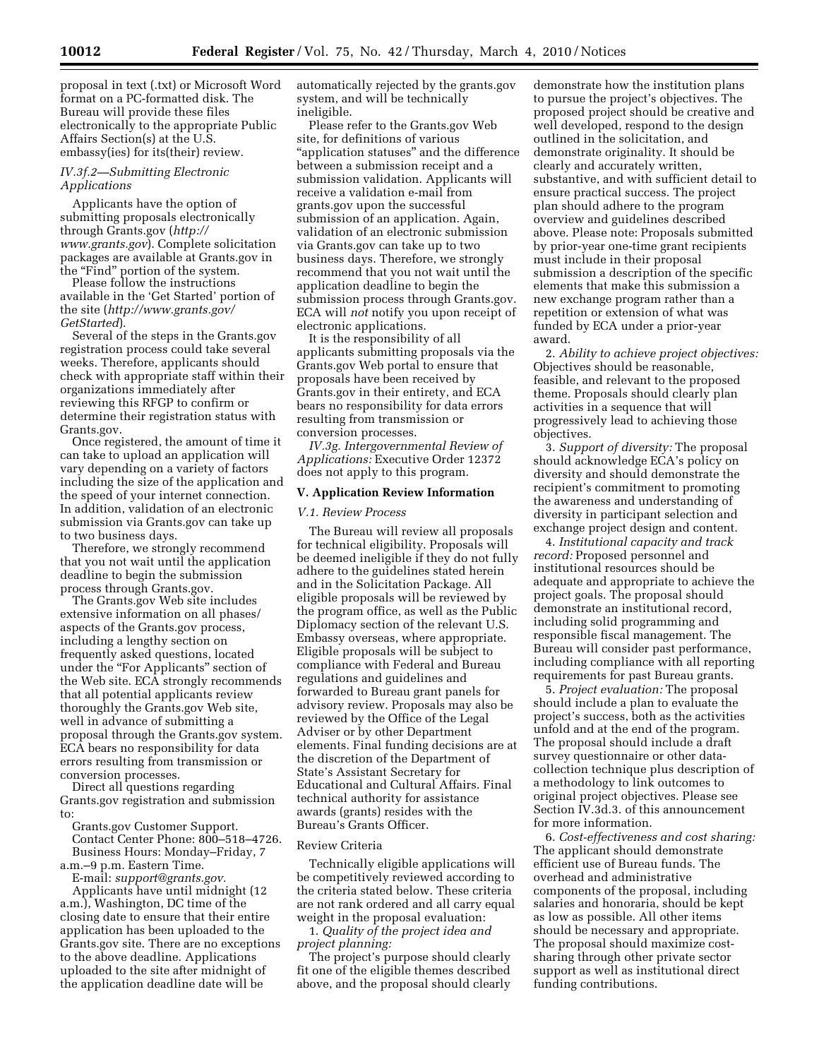proposal in text (.txt) or Microsoft Word format on a PC-formatted disk. The Bureau will provide these files electronically to the appropriate Public Affairs Section(s) at the U.S. embassy(ies) for its(their) review.

# *IV.3f.2—Submitting Electronic Applications*

Applicants have the option of submitting proposals electronically through Grants.gov (*http:// www.grants.gov*). Complete solicitation packages are available at Grants.gov in the "Find" portion of the system.

Please follow the instructions available in the 'Get Started' portion of the site (*http://www.grants.gov/ GetStarted*).

Several of the steps in the Grants.gov registration process could take several weeks. Therefore, applicants should check with appropriate staff within their organizations immediately after reviewing this RFGP to confirm or determine their registration status with Grants.gov.

Once registered, the amount of time it can take to upload an application will vary depending on a variety of factors including the size of the application and the speed of your internet connection. In addition, validation of an electronic submission via Grants.gov can take up to two business days.

Therefore, we strongly recommend that you not wait until the application deadline to begin the submission process through Grants.gov.

The Grants.gov Web site includes extensive information on all phases/ aspects of the Grants.gov process, including a lengthy section on frequently asked questions, located under the ''For Applicants'' section of the Web site. ECA strongly recommends that all potential applicants review thoroughly the Grants.gov Web site, well in advance of submitting a proposal through the Grants.gov system. ECA bears no responsibility for data errors resulting from transmission or conversion processes.

Direct all questions regarding Grants.gov registration and submission to:

Grants.gov Customer Support. Contact Center Phone: 800–518–4726. Business Hours: Monday–Friday, 7 a.m.–9 p.m. Eastern Time.

E-mail: *support@grants.gov.* 

Applicants have until midnight (12 a.m.), Washington, DC time of the closing date to ensure that their entire application has been uploaded to the Grants.gov site. There are no exceptions to the above deadline. Applications uploaded to the site after midnight of the application deadline date will be

automatically rejected by the grants.gov system, and will be technically ineligible.

Please refer to the Grants.gov Web site, for definitions of various "application statuses" and the difference between a submission receipt and a submission validation. Applicants will receive a validation e-mail from grants.gov upon the successful submission of an application. Again, validation of an electronic submission via Grants.gov can take up to two business days. Therefore, we strongly recommend that you not wait until the application deadline to begin the submission process through Grants.gov. ECA will *not* notify you upon receipt of electronic applications.

It is the responsibility of all applicants submitting proposals via the Grants.gov Web portal to ensure that proposals have been received by Grants.gov in their entirety, and ECA bears no responsibility for data errors resulting from transmission or conversion processes.

*IV.3g. Intergovernmental Review of Applications:* Executive Order 12372 does not apply to this program.

# **V. Application Review Information**

# *V.1. Review Process*

The Bureau will review all proposals for technical eligibility. Proposals will be deemed ineligible if they do not fully adhere to the guidelines stated herein and in the Solicitation Package. All eligible proposals will be reviewed by the program office, as well as the Public Diplomacy section of the relevant U.S. Embassy overseas, where appropriate. Eligible proposals will be subject to compliance with Federal and Bureau regulations and guidelines and forwarded to Bureau grant panels for advisory review. Proposals may also be reviewed by the Office of the Legal Adviser or by other Department elements. Final funding decisions are at the discretion of the Department of State's Assistant Secretary for Educational and Cultural Affairs. Final technical authority for assistance awards (grants) resides with the Bureau's Grants Officer.

#### Review Criteria

Technically eligible applications will be competitively reviewed according to the criteria stated below. These criteria are not rank ordered and all carry equal weight in the proposal evaluation:

1. *Quality of the project idea and project planning:* 

The project's purpose should clearly fit one of the eligible themes described above, and the proposal should clearly

demonstrate how the institution plans to pursue the project's objectives. The proposed project should be creative and well developed, respond to the design outlined in the solicitation, and demonstrate originality. It should be clearly and accurately written, substantive, and with sufficient detail to ensure practical success. The project plan should adhere to the program overview and guidelines described above. Please note: Proposals submitted by prior-year one-time grant recipients must include in their proposal submission a description of the specific elements that make this submission a new exchange program rather than a repetition or extension of what was funded by ECA under a prior-year award.

2. *Ability to achieve project objectives:*  Objectives should be reasonable, feasible, and relevant to the proposed theme. Proposals should clearly plan activities in a sequence that will progressively lead to achieving those objectives.

3. *Support of diversity:* The proposal should acknowledge ECA's policy on diversity and should demonstrate the recipient's commitment to promoting the awareness and understanding of diversity in participant selection and exchange project design and content.

4. *Institutional capacity and track record:* Proposed personnel and institutional resources should be adequate and appropriate to achieve the project goals. The proposal should demonstrate an institutional record, including solid programming and responsible fiscal management. The Bureau will consider past performance, including compliance with all reporting requirements for past Bureau grants.

5. *Project evaluation:* The proposal should include a plan to evaluate the project's success, both as the activities unfold and at the end of the program. The proposal should include a draft survey questionnaire or other datacollection technique plus description of a methodology to link outcomes to original project objectives. Please see Section IV.3d.3. of this announcement for more information.

6. *Cost-effectiveness and cost sharing:*  The applicant should demonstrate efficient use of Bureau funds. The overhead and administrative components of the proposal, including salaries and honoraria, should be kept as low as possible. All other items should be necessary and appropriate. The proposal should maximize costsharing through other private sector support as well as institutional direct funding contributions.